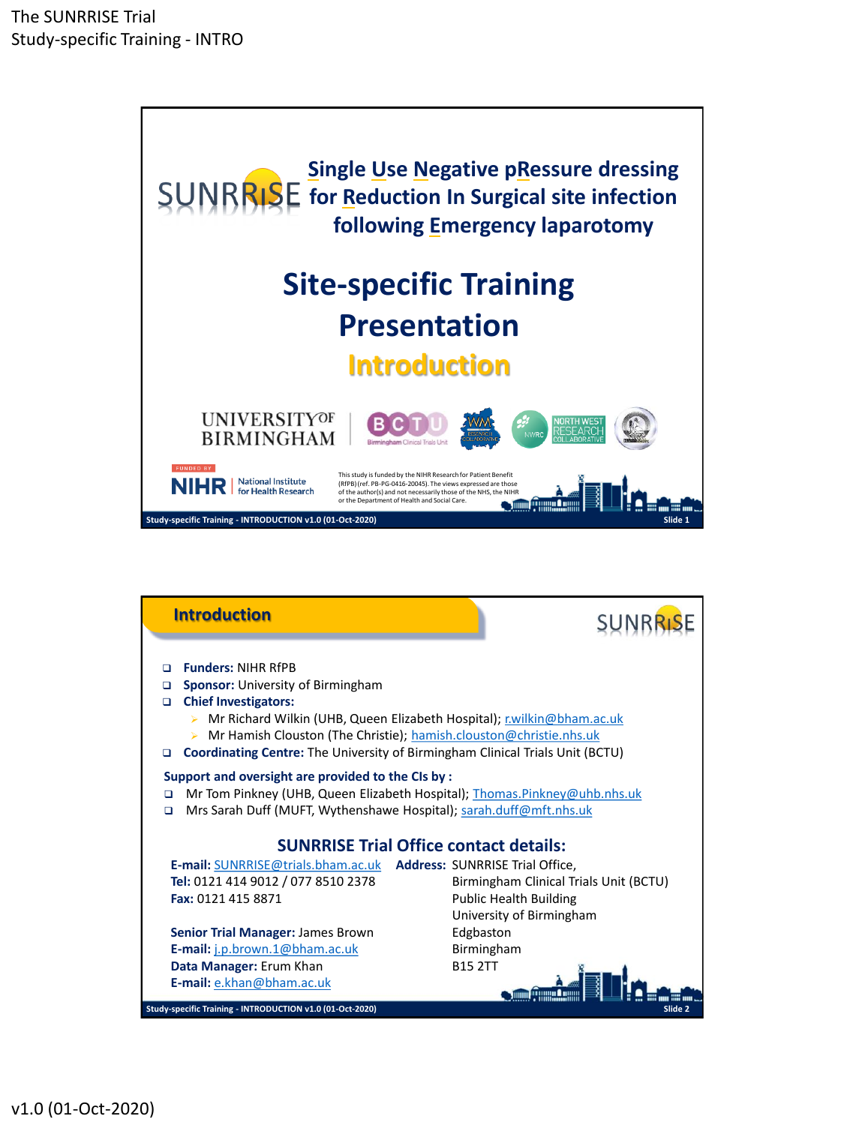

| <b>Introduction</b>                                                                                                                                                                                                                                                                                                                                              |                                                           |
|------------------------------------------------------------------------------------------------------------------------------------------------------------------------------------------------------------------------------------------------------------------------------------------------------------------------------------------------------------------|-----------------------------------------------------------|
| <b>Funders: NIHR RfPB</b><br>n<br><b>Sponsor:</b> University of Birmingham<br>o<br><b>Chief Investigators:</b><br>▫<br>Mr Richard Wilkin (UHB, Queen Elizabeth Hospital); r.wilkin@bham.ac.uk<br>Mr Hamish Clouston (The Christie); hamish.clouston@christie.nhs.uk<br><b>Coordinating Centre:</b> The University of Birmingham Clinical Trials Unit (BCTU)<br>▫ |                                                           |
| Support and oversight are provided to the CIs by :<br>Mr Tom Pinkney (UHB, Queen Elizabeth Hospital); Thomas.Pinkney@uhb.nhs.uk<br>◻<br>Mrs Sarah Duff (MUFT, Wythenshawe Hospital); sarah.duff@mft.nhs.uk<br>◻                                                                                                                                                  |                                                           |
| <b>SUNRRISE Trial Office contact details:</b>                                                                                                                                                                                                                                                                                                                    |                                                           |
| E-mail: SUNRRISE@trials.bham.ac.uk Address: SUNRRISE Trial Office,                                                                                                                                                                                                                                                                                               |                                                           |
| Tel: 0121 414 9012 / 077 8510 2378                                                                                                                                                                                                                                                                                                                               | Birmingham Clinical Trials Unit (BCTU)                    |
| Fax: 0121 415 8871                                                                                                                                                                                                                                                                                                                                               | <b>Public Health Building</b><br>University of Birmingham |
| Senior Trial Manager: James Brown<br>Edgbaston                                                                                                                                                                                                                                                                                                                   |                                                           |
| E-mail: j.p.brown.1@bham.ac.uk                                                                                                                                                                                                                                                                                                                                   | Birmingham                                                |
| <b>B15 2TT</b><br>Data Manager: Erum Khan                                                                                                                                                                                                                                                                                                                        |                                                           |
| E-mail: e.khan@bham.ac.uk<br>Study-specific Training - INTRODUCTION v1.0 (01-Oct-2020)                                                                                                                                                                                                                                                                           | Slide 2                                                   |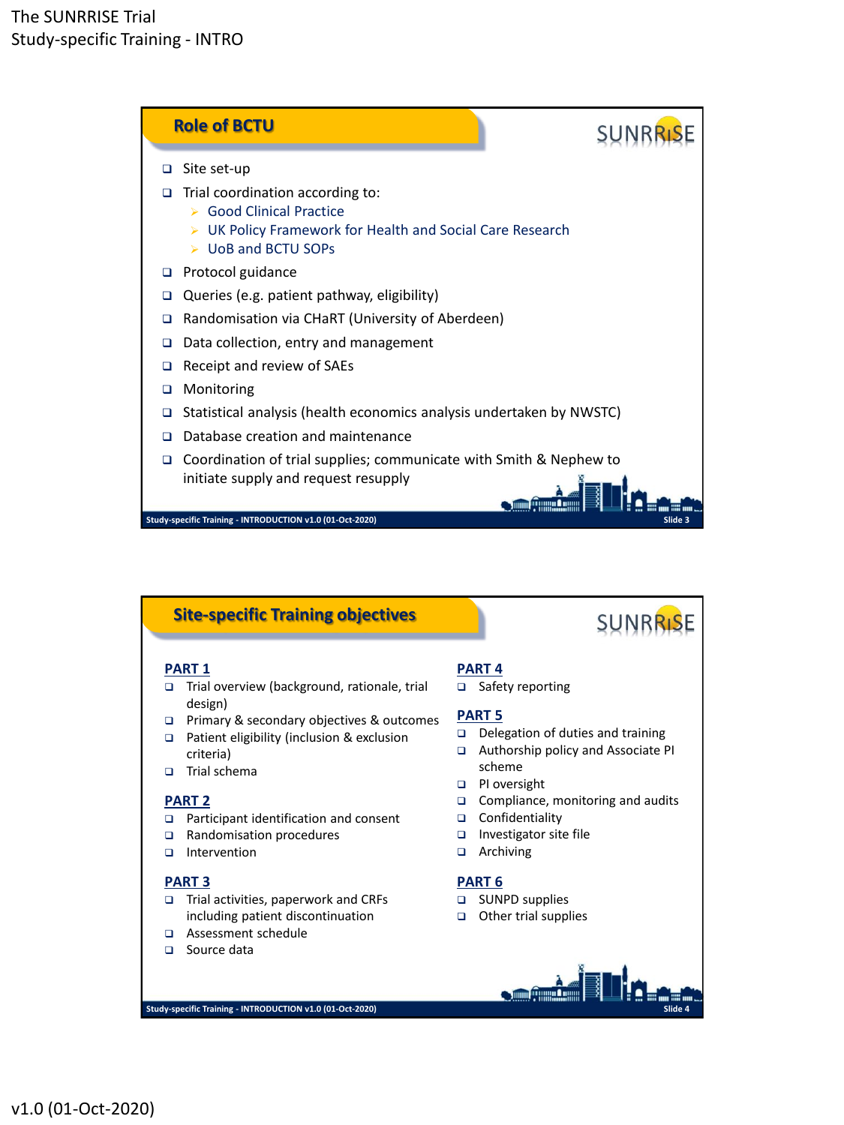

# **Site-specific Training objectives**

## **PART 1**

- □ Trial overview (background, rationale, trial design)
- Primary & secondary objectives & outcomes
- □ Patient eligibility (inclusion & exclusion criteria)
- □ Trial schema

### **PART 2**

- □ Participant identification and consent
- □ Randomisation procedures
- Intervention

## **PART 3**

- Trial activities, paperwork and CRFs including patient discontinuation
- Assessment schedule
- □ Source data

### **PART 4**

□ Safety reporting

## **PART 5**

Delegation of duties and training

**SUNRRISE** 

- Authorship policy and Associate PI scheme
- **PI** oversight
- □ Compliance, monitoring and audits

**Slide 4**

- □ Confidentiality
- Investigator site file
- $\Box$  Archiving

### **PART 6**

- **Elast SUNPD supplies**
- □ Other trial supplies

 $\left| \begin{array}{cc} \end{array} \right|$